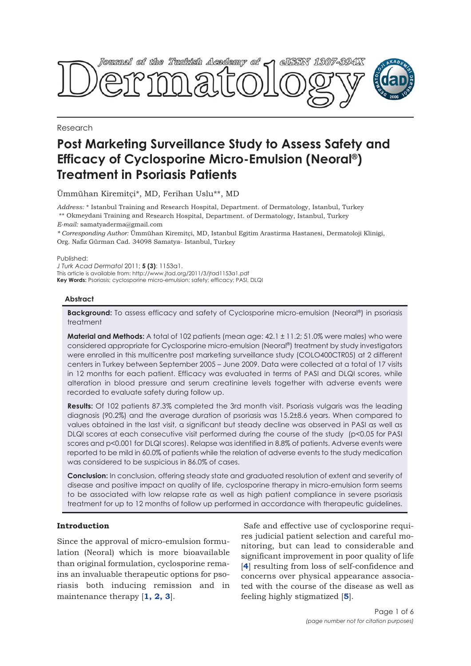

Research

# **Post Marketing Surveillance Study to Assess Safety and Efficacy of Cyclosporine Micro-Emulsion (Neoral®) Treatment in Psoriasis Patients**

Ümmühan Kiremitçi\*, MD, Ferihan Uslu\*\*, MD

*Address:* \* Istanbul Training and Research Hospital, Department. of Dermatology, Istanbul, Turkey \*\* Okmeydani Training and Research Hospital, Department. of Dermatology, Istanbul, Turkey *E-mail:* samatyaderma@gmail.com

*\* Corresponding Author:* Ümmühan Kiremitçi, MD, Istanbul Egitim Arastirma Hastanesi, Dermatoloji Klinigi, Org. Nafiz Gürman Cad. 34098 Samatya- Istanbul, Turkey

Published:

*J Turk Acad Dermatol* 2011; **5 (3)**: 1153a1. This article is available from: http://www.jtad.org/2011/3/jtad1153a1.pdf **Key Words:** Psoriasis; cyclosporine micro-emulsion; safety; efficacy; PASI, DLQI

# **Abstract**

**Background:** To assess efficacy and safety of Cyclosporine micro-emulsion (Neoral®) in psoriasis treatment

**Material and Methods:** A total of 102 patients (mean age: 42.1 ± 11.2; 51.0% were males) who were considered appropriate for Cyclosporine micro-emulsion (Neoral®) treatment by study investigators were enrolled in this multicentre post marketing surveillance study (COLO400CTR05) at 2 different centers in Turkey between September 2005 – June 2009. Data were collected at a total of 17 visits in 12 months for each patient. Efficacy was evaluated in terms of PASI and DLQI scores, while alteration in blood pressure and serum creatinine levels together with adverse events were recorded to evaluate safety during follow up.

**Results:** Of 102 patients 87.3% completed the 3rd month visit. Psoriasis vulgaris was the leading diagnosis (90.2%) and the average duration of psoriasis was 15.2±8.6 years. When compared to values obtained in the last visit, a significant but steady decline was observed in PASI as well as DLQI scores at each consecutive visit performed during the course of the study (p<0.05 for PASI scores and p<0.001 for DLQI scores). Relapse was identified in 8.8% of patients. Adverse events were reported to be mild in 60.0% of patients while the relation of adverse events to the study medication was considered to be suspicious in 86.0% of cases.

**Conclusion:** In conclusion, offering steady state and graduated resolution of extent and severity of disease and positive impact on quality of life, cyclosporine therapy in micro-emulsion form seems to be associated with low relapse rate as well as high patient compliance in severe psoriasis treatment for up to 12 months of follow up performed in accordance with therapeutic guidelines.

# **Introduction**

Since the approval of micro-emulsion formulation (Neoral) which is more bioavailable than original formulation, cyclosporine remains an invaluable therapeutic options for psoriasis both inducing remission and in maintenance therapy [**1, 2, 3**].

Safe and effective use of cyclosporine requires judicial patient selection and careful monitoring, but can lead to considerable and significant improvement in poor quality of life [**4**] resulting from loss of self-confidence and concerns over physical appearance associated with the course of the disease as well as feeling highly stigmatized [**5**].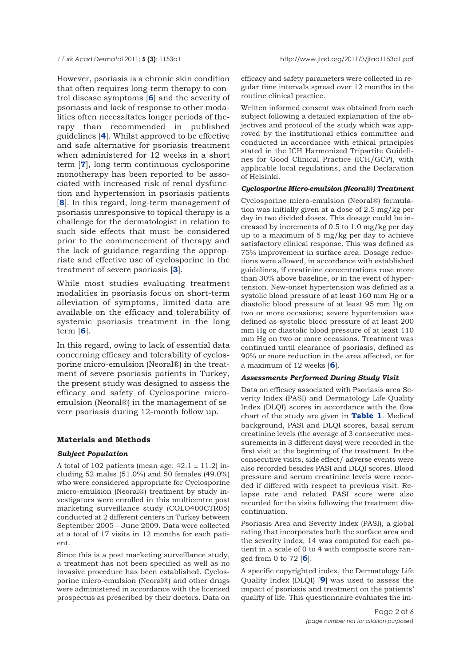However, psoriasis is a chronic skin condition that often requires long-term therapy to control disease symptoms [**6**] and the severity of psoriasis and lack of response to other modalities often necessitates longer periods of therapy than recommended in published guidelines [**4**]. Whilst approved to be effective and safe alternative for psoriasis treatment when administered for 12 weeks in a short term [**7**], long-term continuous cyclosporine monotherapy has been reported to be associated with increased risk of renal dysfunction and hypertension in psoriasis patients [**8**]. In this regard, long-term management of psoriasis unresponsive to topical therapy is a challenge for the dermatologist in relation to such side effects that must be considered prior to the commencement of therapy and the lack of guidance regarding the appropriate and effective use of cyclosporine in the treatment of severe psoriasis [**3**].

While most studies evaluating treatment modalities in psoriasis focus on short-term alleviation of symptoms, limited data are available on the efficacy and tolerability of systemic psoriasis treatment in the long term [**6**].

In this regard, owing to lack of essential data concerning efficacy and tolerability of cyclosporine micro-emulsion (Neoral®) in the treatment of severe psoriasis patients in Turkey, the present study was designed to assess the efficacy and safety of Cyclosporine microemulsion (Neoral®) in the management of severe psoriasis during 12-month follow up.

# **Materials and Methods**

# *Subject Population*

A total of 102 patients (mean age:  $42.1 \pm 11.2$ ) including 52 males (51.0%) and 50 females (49.0%) who were considered appropriate for Cyclosporine micro-emulsion (Neoral®) treatment by study investigators were enrolled in this multicentre post marketing surveillance study (COLO400CTR05) conducted at 2 different centers in Turkey between September 2005 – June 2009. Data were collected at a total of 17 visits in 12 months for each patient.

Since this is a post marketing surveillance study, a treatment has not been specified as well as no invasive procedure has been established. Cyclosporine micro-emulsion (Neoral®) and other drugs were administered in accordance with the licensed prospectus as prescribed by their doctors. Data on

efficacy and safety parameters were collected in regular time intervals spread over 12 months in the routine clinical practice.

Written informed consent was obtained from each subject following a detailed explanation of the objectives and protocol of the study which was approved by the institutional ethics committee and conducted in accordance with ethical principles stated in the ICH Harmonized Tripartite Guidelines for Good Clinical Practice (ICH/GCP), with applicable local regulations, and the Declaration of Helsinki.

## *Cyclosporine Micro-emulsion (Neoral®) Treatment*

Cyclosporine micro-emulsion (Neoral®) formulation was initially given at a dose of 2.5 mg/kg per day in two divided doses. This dosage could be increased by increments of 0.5 to 1.0 mg/kg per day up to a maximum of 5 mg/kg per day to achieve satisfactory clinical response. This was defined as 75% improvement in surface area. Dosage reductions were allowed, in accordance with established guidelines, if creatinine concentrations rose more than 30% above baseline, or in the event of hypertension. New-onset hypertension was defined as a systolic blood pressure of at least 160 mm Hg or a diastolic blood pressure of at least 95 mm Hg on two or more occasions; severe hypertension was defined as systolic blood pressure of at least 200 mm Hg or diastolic blood pressure of at least 110 mm Hg on two or more occasions. Treatment was continued until clearance of psoriasis, defined as 90% or more reduction in the area affected, or for a maximum of 12 weeks [**6**].

# *Assessments Performed During Study Visit*

Data on efficacy associated with Psoriasis area Severity Index (PASI) and Dermatology Life Quality Index (DLQI) scores in accordance with the flow chart of the study are given in **Table 1**. Medical background, PASI and DLQI scores, basal serum creatinine levels (the average of 3 consecutive measurements in 3 different days) were recorded in the first visit at the beginning of the treatment. In the consecutive visits, side effect/ adverse events were also recorded besides PASI and DLQI scores. Blood pressure and serum creatinine levels were recorded if differed with respect to previous visit. Relapse rate and related PASI score were also recorded for the visits following the treatment discontinuation.

Psoriasis Area and Severity Index (PASI), a global rating that incorporates both the surface area and the severity index, 14 was computed for each patient in a scale of 0 to 4 with composite score ranged from 0 to 72 [**6**].

A specific copyrighted index, the Dermatology Life Quality Index (DLQI) [**9**] was used to assess the impact of psoriasis and treatment on the patients' quality of life. This questionnaire evaluates the im-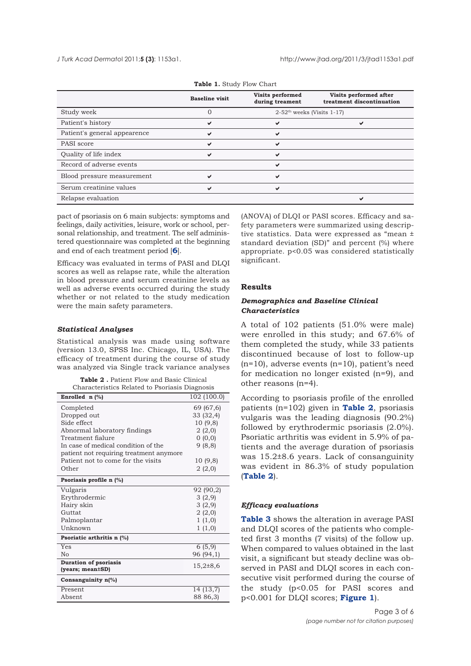#### *J Turk Acad Dermato*l 2011;**5 (3)**: 1153a1. http://www.jtad.org/2011/3/jtad1153a1.pdf

|                              | <b>Baseline</b> visit | Visits performed<br>during treament      | Visits performed after<br>treatment discontinuation |
|------------------------------|-----------------------|------------------------------------------|-----------------------------------------------------|
| Study week                   |                       | $2-52$ <sup>th</sup> weeks (Visits 1-17) |                                                     |
| Patient's history            |                       |                                          |                                                     |
| Patient's general appearence |                       | v                                        |                                                     |
| PASI score                   | ✔                     | ✔                                        |                                                     |
| Quality of life index        |                       |                                          |                                                     |
| Record of adverse events     |                       | ✔                                        |                                                     |
| Blood pressure measurement   |                       | ✔                                        |                                                     |
| Serum creatinine values      |                       |                                          |                                                     |
| Relapse evaluation           |                       |                                          |                                                     |

#### **Table 1.** Study Flow Chart

pact of psoriasis on 6 main subjects: symptoms and feelings, daily activities, leisure, work or school, personal relationship, and treatment. The self administered questionnaire was completed at the beginning and end of each treatment period [**6**].

Efficacy was evaluated in terms of PASI and DLQI scores as well as relapse rate, while the alteration in blood pressure and serum creatinine levels as well as adverse events occurred during the study whether or not related to the study medication were the main safety parameters.

#### *Statistical Analyses*

Statistical analysis was made using software (version 13.0, SPSS Inc. Chicago, IL, USA). The efficacy of treatment during the course of study was analyzed via Single track variance analyses

| <b>Table 2.</b> Patient Flow and Basic Clinical |  |  |
|-------------------------------------------------|--|--|
| Characteristics Related to Psoriasis Diagnosis  |  |  |

| Enrolled $n$ (%)                                 | 102 (100.0)          |
|--------------------------------------------------|----------------------|
| Completed                                        | 69 (67,6)            |
| Dropped out                                      | 33 (32,4)            |
| Side effect                                      | 10 (9,8)             |
| Abnormal laboratory findings                     | 2(2,0)               |
| Treatment fialure                                | 0(0,0)               |
| In case of medical condition of the              | 9(8,8)               |
| patient not requiring treatment anymore          |                      |
| Patient not to come for the visits               | 10 (9,8)             |
| Other                                            | 2(2,0)               |
| Psoriasis profile $n$ (%)                        |                      |
| Vulgaris                                         | 92 (90,2)            |
| Erythrodermic                                    | 3(2,9)               |
| Hairy skin                                       | 3(2,9)               |
| Guttat                                           | 2(2,0)               |
| Palmoplantar                                     | 1(1,0)               |
| Unknown                                          | 1(1,0)               |
| Psoriatic arthritis n (%)                        |                      |
| Yes                                              | $\overline{6}$ (5,9) |
| No                                               | 96 (94,1)            |
| <b>Duration of psoriasis</b><br>(years; mean±SD) | $15,2{\pm}8,6$       |
| Consanguinity $n\frac{1}{6}$                     |                      |
|                                                  |                      |
| Present                                          | 14 (13,7)            |
| Absent                                           | 88 86,3)             |

(ANOVA) of DLQI or PASI scores. Efficacy and safety parameters were summarized using descriptive statistics. Data were expressed as "mean ± standard deviation (SD)" and percent (%) where appropriate. p<0.05 was considered statistically significant.

## **Results**

# *Demographics and Baseline Clinical Characteristics*

A total of 102 patients (51.0% were male) were enrolled in this study; and 67.6% of them completed the study, while 33 patients discontinued because of lost to follow-up (n=10), adverse events (n=10), patient's need for medication no longer existed (n=9), and other reasons (n=4).

According to psoriasis profile of the enrolled patients (n=102) given in **Table 2**, psoriasis vulgaris was the leading diagnosis (90.2%) followed by erythrodermic psoriasis (2.0%). Psoriatic arthritis was evident in 5.9% of patients and the average duration of psoriasis was 15.2±8.6 years. Lack of consanguinity was evident in 86.3% of study population (**Table 2**).

# *Efficacy evaluations*

**Table 3** shows the alteration in average PASI and DLQI scores of the patients who completed first 3 months (7 visits) of the follow up. When compared to values obtained in the last visit, a significant but steady decline was observed in PASI and DLQI scores in each consecutive visit performed during the course of the study (p<0.05 for PASI scores and p<0.001 for DLQI scores; **Figure 1**).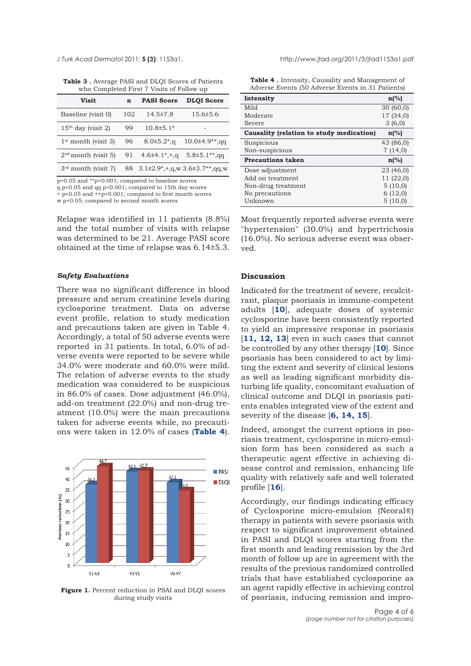**Table 3 .** Average PASI and DLQI Scores of Patients who Completed First 7 Visits of Follow up

| Visit                 | n   | <b>PASI Score</b>             | <b>DLQI</b> Score                                   |
|-----------------------|-----|-------------------------------|-----------------------------------------------------|
| Baseline (visit 0)    | 102 | $14.5 \pm 7.8$                | $15.6 \pm 5.6$                                      |
| $15th$ day (visit 2)  | 99  | $10.8 \pm 5.1*$               |                                                     |
| $1st$ month (visit 3) | 96  | $8.0 \pm 5.2$ <sup>*</sup> ,g | $10.0\pm4.9**$ , qq                                 |
| $2nd$ month (visit 5) | 91  | $4.6\pm4.1$ *, +, q           | $5.8 \pm 5.1**$ , qq                                |
| $3rd$ month (visit 7) |     |                               | 88 $3.1\pm2.9^*$ , +, q, w $3.6\pm3.7^{**}$ , qq, w |

p<0.05 and \*\*p<0.001; compared to baseline scores q p<0.05 and qq p<0.001; compared to 15th day scores  $+$  p<0.05 and  $+$ +p<0.001; compared to first month scores w p<0.05; compared to second month scores

Relapse was identified in 11 patients (8.8%) and the total number of visits with relapse was determined to be 21. Average PASI score obtained at the time of relapse was 6.14±5.3.

# *Safety Evaluations*

There was no significant difference in blood pressure and serum creatinine levels during cyclosporine treatment. Data on adverse event profile, relation to study medication and precautions taken are given in Table 4. Accordingly, a total of 50 adverse events were reported in 31 patients. In total, 6.0% of adverse events were reported to be severe while 34.0% were moderate and 60.0% were mild. The relation of adverse events to the study medication was considered to be suspicious in 86.0% of cases. Dose adjustment (46.0%), add-on treatment (22.0%) and non-drug treatment (10.0%) were the main precautions taken for adverse events while, no precautions were taken in 12.0% of cases (**Table 4**).



**Figure 1.** Percent reduction in PSAI and DLQI scores during study visits

**Table 4 .** Intensity, Causality and Management of Adverse Events (50 Adverse Events in 31 Patients)

| Intensity                                | $n\frac{6}{6}$   |
|------------------------------------------|------------------|
| Mild                                     | 30(60,0)         |
| Moderate                                 | 17 (34,0)        |
| Severe                                   | 3(6,0)           |
| Causality (relation to study medication) | $\mathbf{n}$ (%) |
| Suspicious                               | 43 (86,0)        |
| Non-suspicious                           | 7(14,0)          |
| <b>Precautions taken</b>                 | $n\frac{6}{6}$   |
| Dose adjustment                          | 23 (46,0)        |
| Add on treatment                         | 11 (22,0)        |
| Non-drug treatment                       | 5(10,0)          |
| No precautions                           | 6(12,0)          |
| Unknown                                  | 5(10,0)          |

Most frequently reported adverse events were "hypertension" (30.0%) and hypertrichosis (16.0%). No serious adverse event was observed.

# **Discussion**

Indicated for the treatment of severe, recalcitrant, plaque psoriasis in immune-competent adults [**10**], adequate doses of systemic cyclosporine have been consistently reported to yield an impressive response in psoriasis [**11, 12, 13**] even in such cases that cannot be controlled by any other therapy [**10**]. Since psoriasis has been considered to act by limiting the extent and severity of clinical lesions as well as leading significant morbidity disturbing life quality, concomitant evaluation of clinical outcome and DLQI in psoriasis patients enables integrated view of the extent and severity of the disease [**6, 14, 15**].

Indeed, amongst the current options in psoriasis treatment, cyclosporine in micro-emulsion form has been considered as such a therapeutic agent effective in achieving disease control and remission, enhancing life quality with relatively safe and well tolerated profile [**16**].

Accordingly, our findings indicating efficacy of Cyclosporine micro-emulsion (Neoral®) therapy in patients with severe psoriasis with respect to significant improvement obtained in PASI and DLQI scores starting from the first month and leading remission by the 3rd month of follow up are in agreement with the results of the previous randomized controlled trials that have established cyclosporine as an agent rapidly effective in achieving control of psoriasis, inducing remission and impro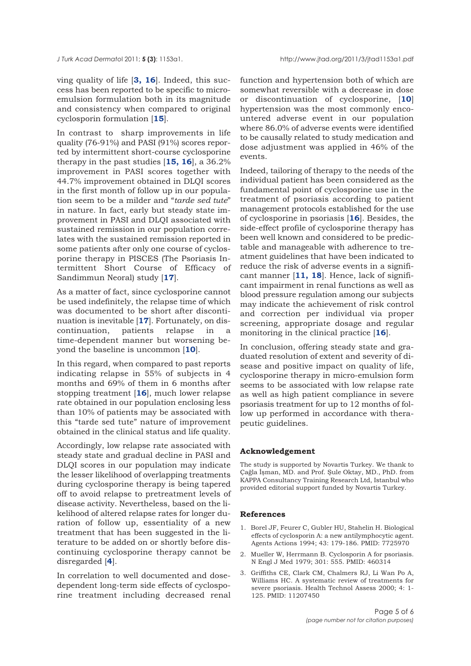ving quality of life [**3, 16**]. Indeed, this success has been reported to be specific to microemulsion formulation both in its magnitude and consistency when compared to original cyclosporin formulation [**15**].

In contrast to sharp improvements in life quality (76-91%) and PASI (91%) scores reported by intermittent short-course cyclosporine therapy in the past studies [**15, 16**], a 36.2% improvement in PASI scores together with 44.7% improvement obtained in DLQI scores in the first month of follow up in our population seem to be a milder and "*tarde sed tute*" in nature. In fact, early but steady state improvement in PASI and DLQI associated with sustained remission in our population correlates with the sustained remission reported in some patients after only one course of cyclosporine therapy in PISCES (The Psoriasis Intermittent Short Course of Efficacy of Sandimmun Neoral) study [**17**].

As a matter of fact, since cyclosporine cannot be used indefinitely, the relapse time of which was documented to be short after discontinuation is inevitable [**17**]. Fortunately, on discontinuation, patients relapse in a time-dependent manner but worsening beyond the baseline is uncommon [**10**].

In this regard, when compared to past reports indicating relapse in 55% of subjects in 4 months and 69% of them in 6 months after stopping treatment [**16**], much lower relapse rate obtained in our population enclosing less than 10% of patients may be associated with this "tarde sed tute" nature of improvement obtained in the clinical status and life quality.

Accordingly, low relapse rate associated with steady state and gradual decline in PASI and DLQI scores in our population may indicate the lesser likelihood of overlapping treatments during cyclosporine therapy is being tapered off to avoid relapse to pretreatment levels of disease activity. Nevertheless, based on the likelihood of altered relapse rates for longer duration of follow up, essentiality of a new treatment that has been suggested in the literature to be added on or shortly before discontinuing cyclosporine therapy cannot be disregarded [**4**].

In correlation to well documented and dosedependent long-term side effects of cyclosporine treatment including decreased renal function and hypertension both of which are somewhat reversible with a decrease in dose or discontinuation of cyclosporine, [**10**] hypertension was the most commonly encountered adverse event in our population where 86.0% of adverse events were identified to be causally related to study medication and dose adjustment was applied in 46% of the events.

Indeed, tailoring of therapy to the needs of the individual patient has been considered as the fundamental point of cyclosporine use in the treatment of psoriasis according to patient management protocols established for the use of cyclosporine in psoriasis [**16**]. Besides, the side-effect profile of cyclosporine therapy has been well known and considered to be predictable and manageable with adherence to treatment guidelines that have been indicated to reduce the risk of adverse events in a significant manner [**11, 18**]. Hence, lack of significant impairment in renal functions as well as blood pressure regulation among our subjects may indicate the achievement of risk control and correction per individual via proper screening, appropriate dosage and regular monitoring in the clinical practice [**16**].

In conclusion, offering steady state and graduated resolution of extent and severity of disease and positive impact on quality of life, cyclosporine therapy in micro-emulsion form seems to be associated with low relapse rate as well as high patient compliance in severe psoriasis treatment for up to 12 months of follow up performed in accordance with therapeutic guidelines.

## **Acknowledgement**

The study is supported by Novartis Turkey. We thank to Çağla İşman, MD. and Prof. Şule Oktay, MD., PhD. from KAPPA Consultancy Training Research Ltd, Istanbul who provided editorial support funded by Novartis Turkey.

# **References**

- 1. Borel JF, Feurer C, Gubler HU, Stahelin H. Biological effects of cyclosporin A: a new antilymphocytic agent. Agents Actions 1994; 43: 179-186. PMID: 7725970
- 2. Mueller W, Herrmann B. Cyclosporin A for psoriasis. N Engl J Med 1979; 301: 555. PMID: 460314
- 3. Griffiths CE, Clark CM, Chalmers RJ, Li Wan Po A, Williams HC. A systematic review of treatments for severe psoriasis. Health Technol Assess 2000; 4: 1- 125. PMID: 11207450